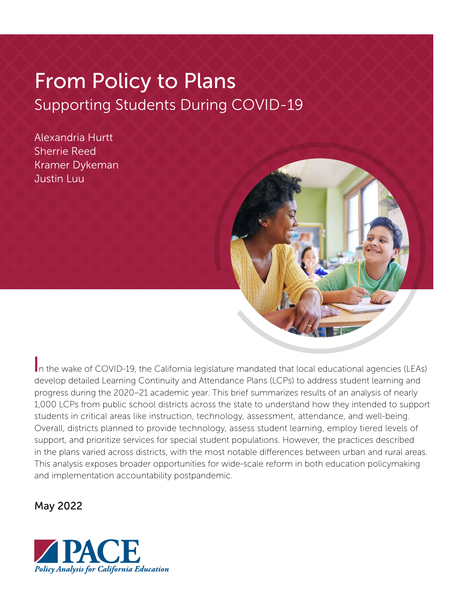# From Policy to Plans Supporting Students During COVID-19

Alexandria Hurtt Sherrie Reed Kramer Dykeman Justin Luu



In the wake of COVID-19, the California legislature mandated that local educational agencies (LEAs) develop detailed Learning Continuity and Attendance Plans (LCPs) to address student learning and progress during the 2020–21 academic year. This brief summarizes results of an analysis of nearly 1,000 LCPs from public school districts across the state to understand how they intended to support students in critical areas like instruction, technology, assessment, attendance, and well-being. Overall, districts planned to provide technology, assess student learning, employ tiered levels of support, and prioritize services for special student populations. However, the practices described in the plans varied across districts, with the most notable differences between urban and rural areas. This analysis exposes broader opportunities for wide-scale reform in both education policymaking and implementation accountability postpandemic.

## May 2022

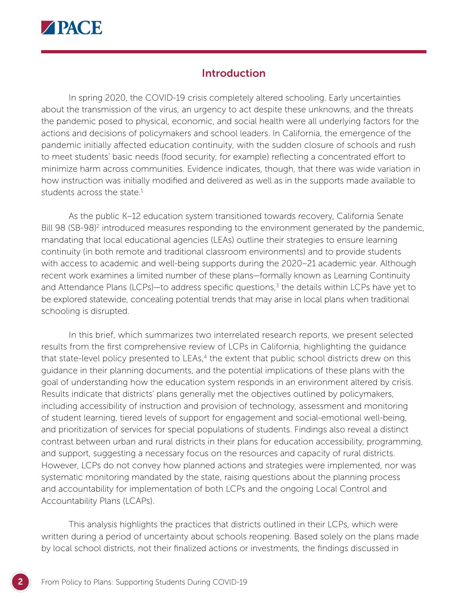

#### Introduction

In spring 2020, the COVID-19 crisis completely altered schooling. Early uncertainties about the transmission of the virus, an urgency to act despite these unknowns, and the threats the pandemic posed to physical, economic, and social health were all underlying factors for the actions and decisions of policymakers and school leaders. In California, the emergence of the pandemic initially affected education continuity, with the sudden closure of schools and rush to meet students' basic needs (food security, for example) reflecting a concentrated effort to minimize harm across communities. Evidence indicates, though, that there was wide variation in how instruction was initially modified and delivered as well as in the supports made available to students across the state. $1$ 

As the public K–12 education system transitioned towards recovery, California Senate Bill 98 (SB-98)<sup>2</sup> introduced measures responding to the environment generated by the pandemic, mandating that local educational agencies (LEAs) outline their strategies to ensure learning continuity (in both remote and traditional classroom environments) and to provide students with access to academic and well-being supports during the 2020–21 academic year. Although recent work examines a limited number of these plans—formally known as Learning Continuity and Attendance Plans (LCPs)—to address specific questions,<sup>3</sup> the details within LCPs have yet to be explored statewide, concealing potential trends that may arise in local plans when traditional schooling is disrupted.

In this brief, which summarizes two interrelated research reports, we present selected results from the first comprehensive review of LCPs in California, highlighting the guidance that state-level policy presented to LEAs,<sup>4</sup> the extent that public school districts drew on this guidance in their planning documents, and the potential implications of these plans with the goal of understanding how the education system responds in an environment altered by crisis. Results indicate that districts' plans generally met the objectives outlined by policymakers, including accessibility of instruction and provision of technology, assessment and monitoring of student learning, tiered levels of support for engagement and social-emotional well-being, and prioritization of services for special populations of students. Findings also reveal a distinct contrast between urban and rural districts in their plans for education accessibility, programming, and support, suggesting a necessary focus on the resources and capacity of rural districts. However, LCPs do not convey how planned actions and strategies were implemented, nor was systematic monitoring mandated by the state, raising questions about the planning process and accountability for implementation of both LCPs and the ongoing Local Control and Accountability Plans (LCAPs).

This analysis highlights the practices that districts outlined in their LCPs, which were written during a period of uncertainty about schools reopening. Based solely on the plans made by local school districts, not their finalized actions or investments, the findings discussed in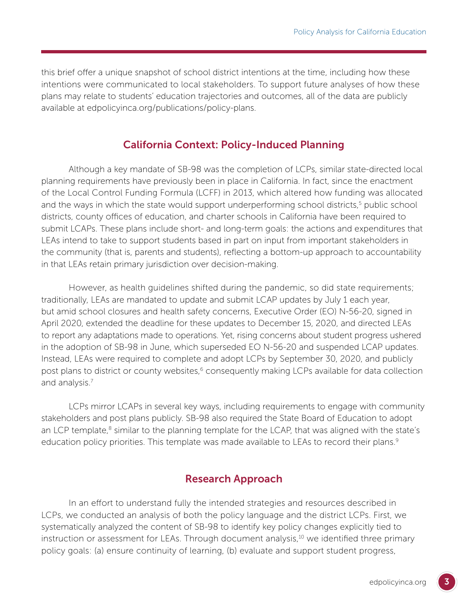this brief offer a unique snapshot of school district intentions at the time, including how these intentions were communicated to local stakeholders. To support future analyses of how these plans may relate to students' education trajectories and outcomes, all of the data are publicly available at [edpolicyinca.org/publications/policy-plans.](https://edpolicyinca.org/publications/policy-plans)

# California Context: Policy-Induced Planning

Although a key mandate of SB-98 was the completion of LCPs, similar state-directed local planning requirements have previously been in place in California. In fact, since the enactment of the Local Control Funding Formula (LCFF) in 2013, which altered how funding was allocated and the ways in which the state would support underperforming school districts,<sup>5</sup> public school districts, county offices of education, and charter schools in California have been required to submit LCAPs. These plans include short- and long-term goals: the actions and expenditures that LEAs intend to take to support students based in part on input from important stakeholders in the community (that is, parents and students), reflecting a bottom-up approach to accountability in that LEAs retain primary jurisdiction over decision-making.

However, as health guidelines shifted during the pandemic, so did state requirements; traditionally, LEAs are mandated to update and submit LCAP updates by July 1 each year, but amid school closures and health safety concerns, Executive Order (EO) N-56-20, signed in April 2020, extended the deadline for these updates to December 15, 2020, and directed LEAs to report any adaptations made to operations. Yet, rising concerns about student progress ushered in the adoption of SB-98 in June, which superseded EO N-56-20 and suspended LCAP updates. Instead, LEAs were required to complete and adopt LCPs by September 30, 2020, and publicly post plans to district or county websites,<sup>6</sup> consequently making LCPs available for data collection and analysis.7

LCPs mirror LCAPs in several key ways, including requirements to engage with community stakeholders and post plans publicly. SB-98 also required the State Board of Education to adopt an LCP template, $8$  similar to the planning template for the LCAP, that was aligned with the state's education policy priorities. This template was made available to LEAs to record their plans.<sup>9</sup>

# Research Approach

In an effort to understand fully the intended strategies and resources described in LCPs, we conducted an analysis of both the policy language and the district LCPs. First, we systematically analyzed the content of SB-98 to identify key policy changes explicitly tied to instruction or assessment for LEAs. Through document analysis, $10$  we identified three primary policy goals: (a) ensure continuity of learning, (b) evaluate and support student progress,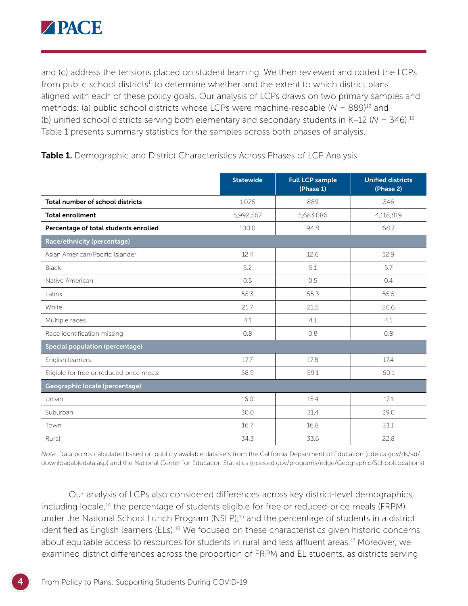

and (c) address the tensions placed on student learning. We then reviewed and coded the LCPs from public school districts<sup>11</sup> to determine whether and the extent to which district plans aligned with each of these policy goals. Our analysis of LCPs draws on two primary samples and methods: (a) public school districts whose LCPs were machine-readable (*N* = 889)12 and (b) unified school districts serving both elementary and secondary students in K–12 (*N* = 346).13 Table 1 presents summary statistics for the samples across both phases of analysis.

|                                          | <b>Statewide</b> | <b>Full LCP sample</b><br>(Phase 1) | <b>Unified districts</b><br>(Phase 2) |
|------------------------------------------|------------------|-------------------------------------|---------------------------------------|
| Total number of school districts         | 1,025            | 889                                 | 346                                   |
| <b>Total enrollment</b>                  | 5,992,567        | 5,683,086                           | 4,118,819                             |
| Percentage of total students enrolled    | 100.0            | 94.8                                | 68.7                                  |
| Race/ethnicity (percentage)              |                  |                                     |                                       |
| Asian American/Pacific Islander          | 12.4             | 12.6                                | 12.9                                  |
| <b>Black</b>                             | 5.2              | 5.1                                 | 5.7                                   |
| Native American                          | 0.5              | 0.5                                 | 0.4                                   |
| Latinx                                   | 55.3             | 55.3                                | 55.5                                  |
| White                                    | 21.7             | 21.5                                | 20.6                                  |
| Multiple races                           | 4.1              | 4.1                                 | 4.1                                   |
| Race identification missing              | 0.8              | 0.8                                 | 0.8                                   |
| <b>Special population (percentage)</b>   |                  |                                     |                                       |
| English learners                         | 17.7             | 17.8                                | 17.4                                  |
| Eligible for free or reduced-price meals | 58.9             | 59.1                                | 60.1                                  |
| Geographic locale (percentage)           |                  |                                     |                                       |
| Urban                                    | 16.0             | 15.4                                | 17.1                                  |
| Suburban                                 | 30.0             | 31.4                                | 39.0                                  |
| Town                                     | 16.7             | 16.8                                | 21.1                                  |
| Rural                                    | 34.3             | 33.6                                | 22.8                                  |

Table 1. Demographic and District Characteristics Across Phases of LCP Analysis

*Note*. Data points calculated based on publicly available data sets from the California Department of Education [\(cde.ca.gov/ds/ad/](http://cde.ca.gov/ds/ad/downloadabledata.asp) [downloadabledata.asp\)](http://cde.ca.gov/ds/ad/downloadabledata.asp) and the National Center for Education Statistics ([nces.ed.gov/programs/edge/Geographic/SchoolLocations](http://nces.ed.gov/programs/edge/Geographic/SchoolLocations)).

Our analysis of LCPs also considered differences across key district-level demographics, including locale,<sup>14</sup> the percentage of students eligible for free or reduced-price meals (FRPM) under the National School Lunch Program (NSLP),<sup>15</sup> and the percentage of students in a district identified as English learners (ELs).<sup>16</sup> We focused on these characteristics given historic concerns about equitable access to resources for students in rural and less affluent areas.<sup>17</sup> Moreover, we examined district differences across the proportion of FRPM and EL students, as districts serving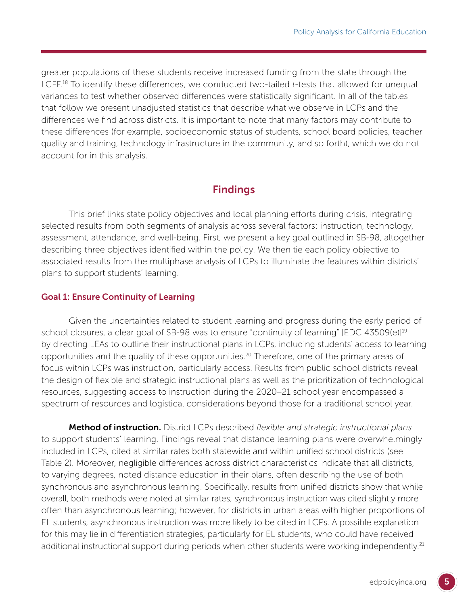greater populations of these students receive increased funding from the state through the LCFF.18 To identify these differences, we conducted two-tailed *t*-tests that allowed for unequal variances to test whether observed differences were statistically significant. In all of the tables that follow we present unadjusted statistics that describe what we observe in LCPs and the differences we find across districts. It is important to note that many factors may contribute to these differences (for example, socioeconomic status of students, school board policies, teacher quality and training, technology infrastructure in the community, and so forth), which we do not account for in this analysis.

# Findings

This brief links state policy objectives and local planning efforts during crisis, integrating selected results from both segments of analysis across several factors: instruction, technology, assessment, attendance, and well-being. First, we present a key goal outlined in SB-98, altogether describing three objectives identified within the policy. We then tie each policy objective to associated results from the multiphase analysis of LCPs to illuminate the features within districts' plans to support students' learning.

#### Goal 1: Ensure Continuity of Learning

Given the uncertainties related to student learning and progress during the early period of school closures, a clear goal of SB-98 was to ensure "continuity of learning" [EDC 43509(e)]<sup>19</sup> by directing LEAs to outline their instructional plans in LCPs, including students' access to learning opportunities and the quality of these opportunities.20 Therefore, one of the primary areas of focus within LCPs was instruction, particularly access. Results from public school districts reveal the design of flexible and strategic instructional plans as well as the prioritization of technological resources, suggesting access to instruction during the 2020–21 school year encompassed a spectrum of resources and logistical considerations beyond those for a traditional school year.

Method of instruction. District LCPs described *flexible and strategic instructional plans* to support students' learning. Findings reveal that distance learning plans were overwhelmingly included in LCPs, cited at similar rates both statewide and within unified school districts (see Table 2). Moreover, negligible differences across district characteristics indicate that all districts, to varying degrees, noted distance education in their plans, often describing the use of both synchronous and asynchronous learning. Specifically, results from unified districts show that while overall, both methods were noted at similar rates, synchronous instruction was cited slightly more often than asynchronous learning; however, for districts in urban areas with higher proportions of EL students, asynchronous instruction was more likely to be cited in LCPs. A possible explanation for this may lie in differentiation strategies, particularly for EL students, who could have received additional instructional support during periods when other students were working independently.<sup>21</sup>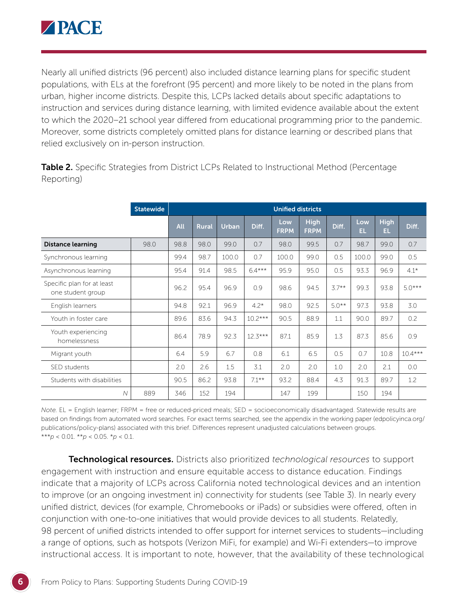

Nearly all unified districts (96 percent) also included distance learning plans for specific student populations, with ELs at the forefront (95 percent) and more likely to be noted in the plans from urban, higher income districts. Despite this, LCPs lacked details about specific adaptations to instruction and services during distance learning, with limited evidence available about the extent to which the 2020–21 school year differed from educational programming prior to the pandemic. Moreover, some districts completely omitted plans for distance learning or described plans that relied exclusively on in-person instruction.

|                                                 | <b>Statewide</b> |            | <b>Unified districts</b> |       |           |                    |                            |         |            |                    |           |  |  |
|-------------------------------------------------|------------------|------------|--------------------------|-------|-----------|--------------------|----------------------------|---------|------------|--------------------|-----------|--|--|
|                                                 |                  | <b>All</b> | <b>Rural</b>             | Urban | Diff.     | Low<br><b>FRPM</b> | <b>High</b><br><b>FRPM</b> | Diff.   | Low<br>EL. | <b>High</b><br>EL. | Diff.     |  |  |
| <b>Distance learning</b>                        | 98.0             | 98.8       | 98.0                     | 99.0  | 0.7       | 98.0               | 99.5                       | 0.7     | 98.7       | 99.0               | 0.7       |  |  |
| Synchronous learning                            |                  | 99.4       | 98.7                     | 100.0 | 0.7       | 100.0              | 99.0                       | 0.5     | 100.0      | 99.0               | 0.5       |  |  |
| Asynchronous learning                           |                  | 95.4       | 91.4                     | 98.5  | $6.4***$  | 95.9               | 95.0                       | 0.5     | 93.3       | 96.9               | $4.1*$    |  |  |
| Specific plan for at least<br>one student group |                  | 96.2       | 95.4                     | 96.9  | 0.9       | 98.6               | 94.5                       | $3.7**$ | 99.3       | 93.8               | $5.0***$  |  |  |
| English learners                                |                  | 94.8       | 92.1                     | 96.9  | $4.2*$    | 98.0               | 92.5                       | $5.0**$ | 97.3       | 93.8               | 3.0       |  |  |
| Youth in foster care                            |                  | 89.6       | 83.6                     | 94.3  | $10.2***$ | 90.5               | 88.9                       | 1.1     | 90.0       | 89.7               | 0.2       |  |  |
| Youth experiencing<br>homelessness              |                  | 86.4       | 78.9                     | 92.3  | $12.3***$ | 87.1               | 85.9                       | 1.3     | 87.3       | 85.6               | 0.9       |  |  |
| Migrant youth                                   |                  | 6.4        | 5.9                      | 6.7   | 0.8       | 6.1                | 6.5                        | 0.5     | 0.7        | 10.8               | $10.4***$ |  |  |
| SED students                                    |                  | 2.0        | 2.6                      | 1.5   | 3.1       | 2.0                | 2.0                        | 1.0     | 2.0        | 2.1                | 0.0       |  |  |
| Students with disabilities                      |                  | 90.5       | 86.2                     | 93.8  | $7.1***$  | 93.2               | 88.4                       | 4.3     | 91.3       | 89.7               | 1.2       |  |  |
| $\mathcal N$                                    | 889              | 346        | 152                      | 194   |           | 147                | 199                        |         | 150        | 194                |           |  |  |

Table 2. Specific Strategies from District LCPs Related to Instructional Method (Percentage Reporting)

*Note.* EL = English learner; FRPM = free or reduced-priced meals; SED = socioeconomically disadvantaged. Statewide results are based on findings from automated word searches. For exact terms searched, see the appendix in the working paper ([edpolicyinca.org/](https://edpolicyinca.org/publications/policy-plans) [publications/policy-plans](https://edpolicyinca.org/publications/policy-plans)) associated with this brief. Differences represent unadjusted calculations between groups. \*\*\**p* < 0.01. \*\**p* < 0.05. \**p* < 0.1.

Technological resources. Districts also prioritized *technological resources* to support engagement with instruction and ensure equitable access to distance education. Findings indicate that a majority of LCPs across California noted technological devices and an intention to improve (or an ongoing investment in) connectivity for students (see Table 3). In nearly every unified district, devices (for example, Chromebooks or iPads) or subsidies were offered, often in conjunction with one-to-one initiatives that would provide devices to all students. Relatedly, 98 percent of unified districts intended to offer support for internet services to students—including a range of options, such as hotspots (Verizon MiFi, for example) and Wi-Fi extenders—to improve instructional access. It is important to note, however, that the availability of these technological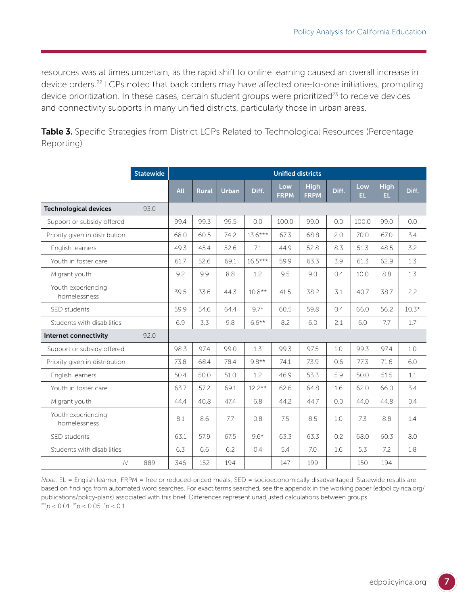resources was at times uncertain, as the rapid shift to online learning caused an overall increase in device orders.<sup>22</sup> LCPs noted that back orders may have affected one-to-one initiatives, prompting device prioritization. In these cases, certain student groups were prioritized $^{23}$  to receive devices and connectivity supports in many unified districts, particularly those in urban areas.

Table 3. Specific Strategies from District LCPs Related to Technological Resources (Percentage Reporting)

|                                    | <b>Statewide</b> | <b>Unified districts</b> |              |       |           |                    |                            |       |            |                    |         |  |
|------------------------------------|------------------|--------------------------|--------------|-------|-----------|--------------------|----------------------------|-------|------------|--------------------|---------|--|
|                                    |                  | All                      | <b>Rural</b> | Urban | Diff.     | Low<br><b>FRPM</b> | <b>High</b><br><b>FRPM</b> | Diff. | Low<br>EL. | <b>High</b><br>EL. | Diff.   |  |
| <b>Technological devices</b>       | 93.0             |                          |              |       |           |                    |                            |       |            |                    |         |  |
| Support or subsidy offered         |                  | 99.4                     | 99.3         | 99.5  | 0.0       | 100.0              | 99.0                       | 0.0   | 100.0      | 99.0               | 0.0     |  |
| Priority given in distribution     |                  | 68.0                     | 60.5         | 74.2  | $13.6***$ | 67.3               | 68.8                       | 2.0   | 70.0       | 67.0               | 3.4     |  |
| English learners                   |                  | 49.3                     | 45.4         | 52.6  | 7.1       | 44.9               | 52.8                       | 8.3   | 51.3       | 48.5               | 3.2     |  |
| Youth in foster care               |                  | 61.7                     | 52.6         | 69.1  | $16.5***$ | 59.9               | 63.3                       | 3.9   | 61.3       | 62.9               | 1.3     |  |
| Migrant youth                      |                  | 9.2                      | 9.9          | 8.8   | 1.2       | 9.5                | 9.0                        | 0.4   | 10.0       | 8.8                | 1.3     |  |
| Youth experiencing<br>homelessness |                  | 39.5                     | 33.6         | 44.3  | $10.8**$  | 41.5               | 38.2                       | 3.1   | 40.7       | 38.7               | 2.2     |  |
| SED students                       |                  | 59.9                     | 54.6         | 64.4  | $9.7*$    | 60.5               | 59.8                       | 0.4   | 66.0       | 56.2               | $10.3*$ |  |
| Students with disabilities         |                  | 6.9                      | 3.3          | 9.8   | $6.6***$  | 8.2                | 6.0                        | 2.1   | 6.0        | 7.7                | 1.7     |  |
| Internet connectivity              | 92.0             |                          |              |       |           |                    |                            |       |            |                    |         |  |
| Support or subsidy offered         |                  | 98.3                     | 97.4         | 99.0  | 1.3       | 99.3               | 97.5                       | 1.0   | 99.3       | 97.4               | 1.0     |  |
| Priority given in distribution     |                  | 73.8                     | 68.4         | 78.4  | $9.8**$   | 74.1               | 73.9                       | 0.6   | 77.3       | 71.6               | 6.0     |  |
| English learners                   |                  | 50.4                     | 50.0         | 51.0  | 1.2       | 46.9               | 53.3                       | 5.9   | 50.0       | 51.5               | 1.1     |  |
| Youth in foster care               |                  | 63.7                     | 57.2         | 69.1  | $12.2**$  | 62.6               | 64.8                       | 1.6   | 62.0       | 66.0               | 3.4     |  |
| Migrant youth                      |                  | 44.4                     | 40.8         | 47.4  | 6.8       | 44.2               | 44.7                       | 0.0   | 44.0       | 44.8               | 0.4     |  |
| Youth experiencing<br>homelessness |                  | 8.1                      | 8.6          | 7.7   | 0.8       | 7.5                | 8.5                        | 1.0   | 7.3        | 8.8                | 1.4     |  |
| SED students                       |                  | 63.1                     | 57.9         | 67.5  | $9.6*$    | 63.3               | 63.3                       | 0.2   | 68.0       | 60.3               | 8.0     |  |
| Students with disabilities         |                  | 6.3                      | 6.6          | 6.2   | 0.4       | 5.4                | 7.0                        | 1.6   | 5.3        | 7.2                | 1.8     |  |
| $\overline{N}$                     | 889              | 346                      | 152          | 194   |           | 147                | 199                        |       | 150        | 194                |         |  |

*Note.* EL = English learner; FRPM = free or reduced-priced meals; SED = socioeconomically disadvantaged. Statewide results are based on findings from automated word searches. For exact terms searched, see the appendix in the working paper ([edpolicyinca.org/](https://edpolicyinca.org/publications/policy-plans) [publications/policy-plans\)](https://edpolicyinca.org/publications/policy-plans) associated with this brief. Differences represent unadjusted calculations between groups. \*\*\**p* < 0.01. \*\**p* < 0.05. \* *p* < 0.1.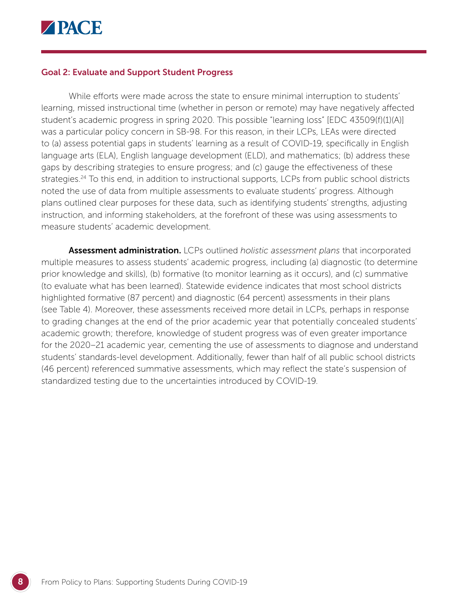

#### Goal 2: Evaluate and Support Student Progress

While efforts were made across the state to ensure minimal interruption to students' learning, missed instructional time (whether in person or remote) may have negatively affected student's academic progress in spring 2020. This possible "learning loss" [EDC 43509(f)(1)(A)] was a particular policy concern in SB-98. For this reason, in their LCPs, LEAs were directed to (a) assess potential gaps in students' learning as a result of COVID-19, specifically in English language arts (ELA), English language development (ELD), and mathematics; (b) address these gaps by describing strategies to ensure progress; and (c) gauge the effectiveness of these strategies.<sup>24</sup> To this end, in addition to instructional supports, LCPs from public school districts noted the use of data from multiple assessments to evaluate students' progress. Although plans outlined clear purposes for these data, such as identifying students' strengths, adjusting instruction, and informing stakeholders, at the forefront of these was using assessments to measure students' academic development.

Assessment administration. LCPs outlined *holistic assessment plans* that incorporated multiple measures to assess students' academic progress, including (a) diagnostic (to determine prior knowledge and skills), (b) formative (to monitor learning as it occurs), and (c) summative (to evaluate what has been learned). Statewide evidence indicates that most school districts highlighted formative (87 percent) and diagnostic (64 percent) assessments in their plans (see Table 4). Moreover, these assessments received more detail in LCPs, perhaps in response to grading changes at the end of the prior academic year that potentially concealed students' academic growth; therefore, knowledge of student progress was of even greater importance for the 2020–21 academic year, cementing the use of assessments to diagnose and understand students' standards-level development. Additionally, fewer than half of all public school districts (46 percent) referenced summative assessments, which may reflect the state's suspension of standardized testing due to the uncertainties introduced by COVID-19.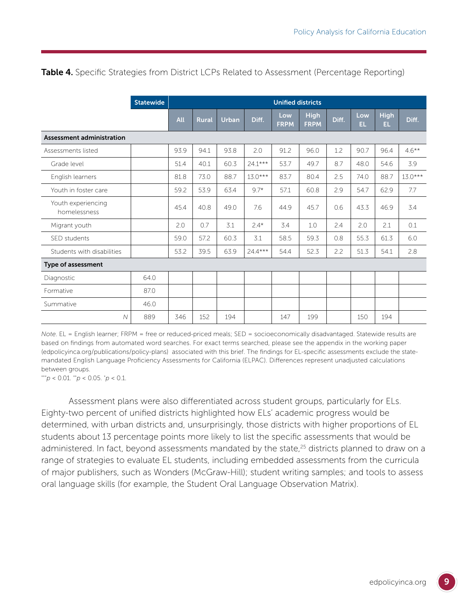Table 4. Specific Strategies from District LCPs Related to Assessment (Percentage Reporting)

|                                    | <b>Statewide</b> | <b>Unified districts</b> |              |       |           |                    |                            |       |            |                    |           |  |
|------------------------------------|------------------|--------------------------|--------------|-------|-----------|--------------------|----------------------------|-------|------------|--------------------|-----------|--|
|                                    |                  | All                      | <b>Rural</b> | Urban | Diff.     | Low<br><b>FRPM</b> | <b>High</b><br><b>FRPM</b> | Diff. | Low<br>EL. | <b>High</b><br>EL. | Diff.     |  |
| <b>Assessment administration</b>   |                  |                          |              |       |           |                    |                            |       |            |                    |           |  |
| Assessments listed                 |                  | 93.9                     | 94.1         | 93.8  | 2.0       | 91.2               | 96.0                       | 1.2   | 90.7       | 96.4               | $4.6***$  |  |
| Grade level                        |                  | 51.4                     | 40.1         | 60.3  | $24.1***$ | 53.7               | 49.7                       | 8.7   | 48.0       | 54.6               | 3.9       |  |
| English learners                   |                  | 81.8                     | 73.0         | 88.7  | $13.0***$ | 83.7               | 80.4                       | 2.5   | 74.0       | 88.7               | $13.0***$ |  |
| Youth in foster care               |                  | 59.2                     | 53.9         | 63.4  | $9.7*$    | 57.1               | 60.8                       | 2.9   | 54.7       | 62.9               | 7.7       |  |
| Youth experiencing<br>homelessness |                  | 45.4                     | 40.8         | 49.0  | 7.6       | 44.9               | 45.7                       | 0.6   | 43.3       | 46.9               | 3.4       |  |
| Migrant youth                      |                  | 2.0                      | 0.7          | 3.1   | $2.4*$    | 3.4                | 1.0                        | 2.4   | 2.0        | 2.1                | 0.1       |  |
| SED students                       |                  | 59.0                     | 57.2         | 60.3  | 3.1       | 58.5               | 59.3                       | 0.8   | 55.3       | 61.3               | 6.0       |  |
| Students with disabilities         |                  | 53.2                     | 39.5         | 63.9  | $24.4***$ | 54.4               | 52.3                       | 2.2   | 51.3       | 54.1               | 2.8       |  |
| <b>Type of assessment</b>          |                  |                          |              |       |           |                    |                            |       |            |                    |           |  |
| Diagnostic                         | 64.0             |                          |              |       |           |                    |                            |       |            |                    |           |  |
| Formative                          | 87.0             |                          |              |       |           |                    |                            |       |            |                    |           |  |
| Summative                          | 46.0             |                          |              |       |           |                    |                            |       |            |                    |           |  |
| $\overline{\mathcal{N}}$           | 889              | 346                      | 152          | 194   |           | 147                | 199                        |       | 150        | 194                |           |  |

*Note*. EL = English learner; FRPM = free or reduced-priced meals; SED = socioeconomically disadvantaged. Statewide results are based on findings from automated word searches. For exact terms searched, please see the appendix in the working paper [\(edpolicyinca.org/publications/policy-plans](https://edpolicyinca.org/publications/policy-plans)) associated with this brief. The findings for EL-specific assessments exclude the statemandated English Language Proficiency Assessments for California (ELPAC). Differences represent unadjusted calculations between groups.

\*\*\**p* < 0.01. \*\**p* < 0.05. \* *p* < 0.1.

Assessment plans were also differentiated across student groups, particularly for ELs. Eighty-two percent of unified districts highlighted how ELs' academic progress would be determined, with urban districts and, unsurprisingly, those districts with higher proportions of EL students about 13 percentage points more likely to list the specific assessments that would be administered. In fact, beyond assessments mandated by the state,<sup>25</sup> districts planned to draw on a range of strategies to evaluate EL students, including embedded assessments from the curricula of major publishers, such as Wonders (McGraw-Hill); student writing samples; and tools to assess oral language skills (for example, the Student Oral Language Observation Matrix).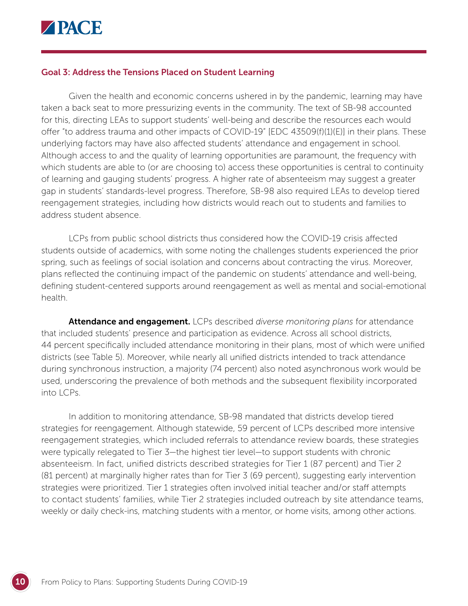

#### Goal 3: Address the Tensions Placed on Student Learning

Given the health and economic concerns ushered in by the pandemic, learning may have taken a back seat to more pressurizing events in the community. The text of SB-98 accounted for this, directing LEAs to support students' well-being and describe the resources each would offer "to address trauma and other impacts of COVID-19" [EDC 43509(f)(1)(E)] in their plans. These underlying factors may have also affected students' attendance and engagement in school. Although access to and the quality of learning opportunities are paramount, the frequency with which students are able to (or are choosing to) access these opportunities is central to continuity of learning and gauging students' progress. A higher rate of absenteeism may suggest a greater gap in students' standards-level progress. Therefore, SB-98 also required LEAs to develop tiered reengagement strategies, including how districts would reach out to students and families to address student absence.

LCPs from public school districts thus considered how the COVID-19 crisis affected students outside of academics, with some noting the challenges students experienced the prior spring, such as feelings of social isolation and concerns about contracting the virus. Moreover, plans reflected the continuing impact of the pandemic on students' attendance and well-being, defining student-centered supports around reengagement as well as mental and social-emotional health.

Attendance and engagement. LCPs described *diverse monitoring plans* for attendance that included students' presence and participation as evidence. Across all school districts, 44 percent specifically included attendance monitoring in their plans, most of which were unified districts (see Table 5). Moreover, while nearly all unified districts intended to track attendance during synchronous instruction, a majority (74 percent) also noted asynchronous work would be used, underscoring the prevalence of both methods and the subsequent flexibility incorporated into LCPs.

In addition to monitoring attendance, SB-98 mandated that districts develop tiered strategies for reengagement. Although statewide, 59 percent of LCPs described more intensive reengagement strategies, which included referrals to attendance review boards, these strategies were typically relegated to Tier 3—the highest tier level—to support students with chronic absenteeism. In fact, unified districts described strategies for Tier 1 (87 percent) and Tier 2 (81 percent) at marginally higher rates than for Tier 3 (69 percent), suggesting early intervention strategies were prioritized. Tier 1 strategies often involved initial teacher and/or staff attempts to contact students' families, while Tier 2 strategies included outreach by site attendance teams, weekly or daily check-ins, matching students with a mentor, or home visits, among other actions.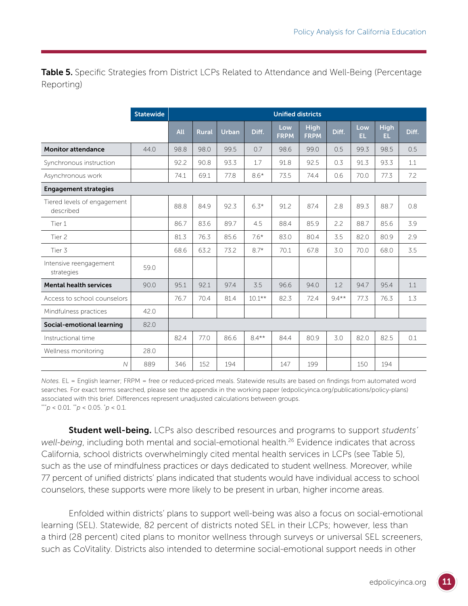Table 5. Specific Strategies from District LCPs Related to Attendance and Well-Being (Percentage Reporting)

|                                          | <b>Statewide</b> | <b>Unified districts</b> |              |              |          |                    |                            |         |            |                    |       |  |
|------------------------------------------|------------------|--------------------------|--------------|--------------|----------|--------------------|----------------------------|---------|------------|--------------------|-------|--|
|                                          |                  | <b>All</b>               | <b>Rural</b> | <b>Urban</b> | Diff.    | Low<br><b>FRPM</b> | <b>High</b><br><b>FRPM</b> | Diff.   | Low<br>EL. | <b>High</b><br>EL. | Diff. |  |
| <b>Monitor attendance</b>                | 44.0             | 98.8                     | 98.0         | 99.5         | 0.7      | 98.6               | 99.0                       | 0.5     | 99.3       | 98.5               | 0.5   |  |
| Synchronous instruction                  |                  | 92.2                     | 90.8         | 93.3         | 1.7      | 91.8               | 92.5                       | 0.3     | 91.3       | 93.3               | 1.1   |  |
| Asynchronous work                        |                  | 74.1                     | 69.1         | 77.8         | $8.6*$   | 73.5               | 74.4                       | 0.6     | 70.0       | 77.3               | 7.2   |  |
| <b>Engagement strategies</b>             |                  |                          |              |              |          |                    |                            |         |            |                    |       |  |
| Tiered levels of engagement<br>described |                  | 88.8                     | 84.9         | 92.3         | $6.3*$   | 91.2               | 87.4                       | 2.8     | 89.3       | 88.7               | 0.8   |  |
| Tier 1                                   |                  | 86.7                     | 83.6         | 89.7         | 4.5      | 88.4               | 85.9                       | 2.2     | 88.7       | 85.6               | 3.9   |  |
| Tier 2                                   |                  | 81.3                     | 76.3         | 85.6         | $7.6*$   | 83.0               | 80.4                       | 3.5     | 82.0       | 80.9               | 2.9   |  |
| Tier 3                                   |                  | 68.6                     | 63.2         | 73.2         | $8.7*$   | 70.1               | 67.8                       | 3.0     | 70.0       | 68.0               | 3.5   |  |
| Intensive reengagement<br>strategies     | 59.0             |                          |              |              |          |                    |                            |         |            |                    |       |  |
| <b>Mental health services</b>            | 90.0             | 95.1                     | 92.1         | 97.4         | 3.5      | 96.6               | 94.0                       | 1.2     | 94.7       | 95.4               | 1.1   |  |
| Access to school counselors              |                  | 76.7                     | 70.4         | 81.4         | $10.1**$ | 82.3               | 72.4                       | $9.4**$ | 77.3       | 76.3               | 1.3   |  |
| Mindfulness practices                    | 42.0             |                          |              |              |          |                    |                            |         |            |                    |       |  |
| Social-emotional learning                | 82.0             |                          |              |              |          |                    |                            |         |            |                    |       |  |
| Instructional time                       |                  | 82.4                     | 77.0         | 86.6         | $8.4***$ | 84.4               | 80.9                       | 3.0     | 82.0       | 82.5               | 0.1   |  |
| Wellness monitoring                      | 28.0             |                          |              |              |          |                    |                            |         |            |                    |       |  |
| N                                        | 889              | 346                      | 152          | 194          |          | 147                | 199                        |         | 150        | 194                |       |  |

*Notes.* EL = English learner; FRPM = free or reduced-priced meals. Statewide results are based on findings from automated word searches. For exact terms searched, please see the appendix in the working paper [\(edpolicyinca.org/publications/policy-plans](https://edpolicyinca.org/publications/policy-plans)) associated with this brief. Differences represent unadjusted calculations between groups. \*\*\**p* < 0.01. \*\**p* < 0.05. \* *p* < 0.1.

Student well-being. LCPs also described resources and programs to support *students' well-being*, including both mental and social-emotional health.<sup>26</sup> Evidence indicates that across California, school districts overwhelmingly cited mental health services in LCPs (see Table 5), such as the use of mindfulness practices or days dedicated to student wellness. Moreover, while 77 percent of unified districts' plans indicated that students would have individual access to school counselors, these supports were more likely to be present in urban, higher income areas.

Enfolded within districts' plans to support well-being was also a focus on social-emotional learning (SEL). Statewide, 82 percent of districts noted SEL in their LCPs; however, less than a third (28 percent) cited plans to monitor wellness through surveys or universal SEL screeners, such as CoVitality. Districts also intended to determine social-emotional support needs in other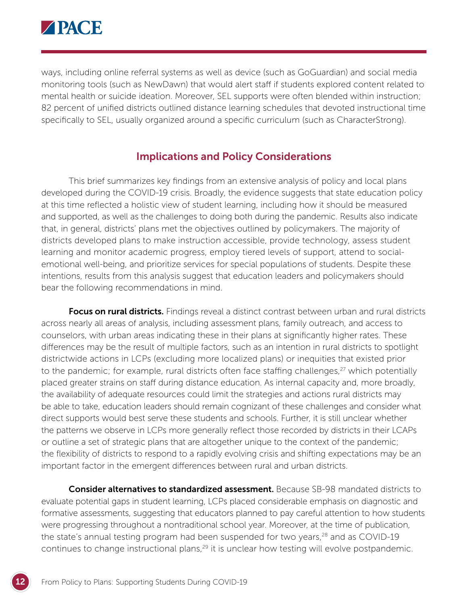

ways, including online referral systems as well as device (such as GoGuardian) and social media monitoring tools (such as NewDawn) that would alert staff if students explored content related to mental health or suicide ideation. Moreover, SEL supports were often blended within instruction; 82 percent of unified districts outlined distance learning schedules that devoted instructional time specifically to SEL, usually organized around a specific curriculum (such as CharacterStrong).

#### Implications and Policy Considerations

This brief summarizes key findings from an extensive analysis of policy and local plans developed during the COVID-19 crisis. Broadly, the evidence suggests that state education policy at this time reflected a holistic view of student learning, including how it should be measured and supported, as well as the challenges to doing both during the pandemic. Results also indicate that, in general, districts' plans met the objectives outlined by policymakers. The majority of districts developed plans to make instruction accessible, provide technology, assess student learning and monitor academic progress, employ tiered levels of support, attend to socialemotional well-being, and prioritize services for special populations of students. Despite these intentions, results from this analysis suggest that education leaders and policymakers should bear the following recommendations in mind.

Focus on rural districts. Findings reveal a distinct contrast between urban and rural districts across nearly all areas of analysis, including assessment plans, family outreach, and access to counselors, with urban areas indicating these in their plans at significantly higher rates. These differences may be the result of multiple factors, such as an intention in rural districts to spotlight districtwide actions in LCPs (excluding more localized plans) or inequities that existed prior to the pandemic; for example, rural districts often face staffing challenges,<sup>27</sup> which potentially placed greater strains on staff during distance education. As internal capacity and, more broadly, the availability of adequate resources could limit the strategies and actions rural districts may be able to take, education leaders should remain cognizant of these challenges and consider what direct supports would best serve these students and schools. Further, it is still unclear whether the patterns we observe in LCPs more generally reflect those recorded by districts in their LCAPs or outline a set of strategic plans that are altogether unique to the context of the pandemic; the flexibility of districts to respond to a rapidly evolving crisis and shifting expectations may be an important factor in the emergent differences between rural and urban districts.

**Consider alternatives to standardized assessment.** Because SB-98 mandated districts to evaluate potential gaps in student learning, LCPs placed considerable emphasis on diagnostic and formative assessments, suggesting that educators planned to pay careful attention to how students were progressing throughout a nontraditional school year. Moreover, at the time of publication, the state's annual testing program had been suspended for two years, $28$  and as COVID-19 continues to change instructional plans,<sup>29</sup> it is unclear how testing will evolve postpandemic.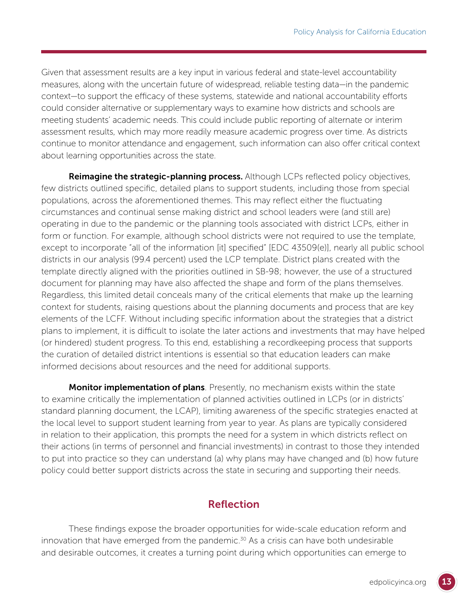Given that assessment results are a key input in various federal and state-level accountability measures, along with the uncertain future of widespread, reliable testing data—in the pandemic context—to support the efficacy of these systems, statewide and national accountability efforts could consider alternative or supplementary ways to examine how districts and schools are meeting students' academic needs. This could include public reporting of alternate or interim assessment results, which may more readily measure academic progress over time. As districts continue to monitor attendance and engagement, such information can also offer critical context about learning opportunities across the state.

Reimagine the strategic-planning process. Although LCPs reflected policy objectives, few districts outlined specific, detailed plans to support students, including those from special populations, across the aforementioned themes. This may reflect either the fluctuating circumstances and continual sense making district and school leaders were (and still are) operating in due to the pandemic or the planning tools associated with district LCPs, either in form or function. For example, although school districts were not required to use the template, except to incorporate "all of the information [it] specified" [EDC 43509(e)], nearly all public school districts in our analysis (99.4 percent) used the LCP template. District plans created with the template directly aligned with the priorities outlined in SB-98; however, the use of a structured document for planning may have also affected the shape and form of the plans themselves. Regardless, this limited detail conceals many of the critical elements that make up the learning context for students, raising questions about the planning documents and process that are key elements of the LCFF. Without including specific information about the strategies that a district plans to implement, it is difficult to isolate the later actions and investments that may have helped (or hindered) student progress. To this end, establishing a recordkeeping process that supports the curation of detailed district intentions is essential so that education leaders can make informed decisions about resources and the need for additional supports.

**Monitor implementation of plans**. Presently, no mechanism exists within the state to examine critically the implementation of planned activities outlined in LCPs (or in districts' standard planning document, the LCAP), limiting awareness of the specific strategies enacted at the local level to support student learning from year to year. As plans are typically considered in relation to their application, this prompts the need for a system in which districts reflect on their actions (in terms of personnel and financial investments) in contrast to those they intended to put into practice so they can understand (a) why plans may have changed and (b) how future policy could better support districts across the state in securing and supporting their needs.

### Reflection

These findings expose the broader opportunities for wide-scale education reform and innovation that have emerged from the pandemic. $30$  As a crisis can have both undesirable and desirable outcomes, it creates a turning point during which opportunities can emerge to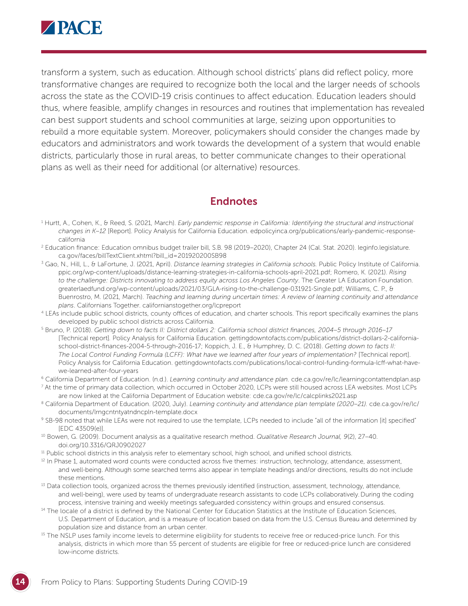

transform a system, such as education. Although school districts' plans did reflect policy, more transformative changes are required to recognize both the local and the larger needs of schools across the state as the COVID-19 crisis continues to affect education. Education leaders should thus, where feasible, amplify changes in resources and routines that implementation has revealed can best support students and school communities at large, seizing upon opportunities to rebuild a more equitable system. Moreover, policymakers should consider the changes made by educators and administrators and work towards the development of a system that would enable districts, particularly those in rural areas, to better communicate changes to their operational plans as well as their need for additional (or alternative) resources.

#### Endnotes

- 1 Hurtt, A., Cohen, K., & Reed, S. (2021, March). *Early pandemic response in California: Identifying the structural and instructional changes in K–12* [Report]. Policy Analysis for California Education. [edpolicyinca.org/publications/early-pandemic-response](http://edpolicyinca.org/publications/early-pandemic-response-california)[california](http://edpolicyinca.org/publications/early-pandemic-response-california)
- 2 Education finance: Education omnibus budget trailer bill, S.B. 98 (2019–2020), Chapter 24 (Cal. Stat. 2020). [leginfo.legislature.](http://leginfo.legislature.ca.gov/faces/billTextClient.xhtml?bill_id=201920200SB98) [ca.gov/faces/billTextClient.xhtml?bill\\_id=201920200SB98](http://leginfo.legislature.ca.gov/faces/billTextClient.xhtml?bill_id=201920200SB98)
- 3 Gao, N., Hill, L., & LaFortune, J. (2021, April). *Distance learning strategies in California schools.* Public Policy Institute of California. [ppic.org/wp-content/uploads/distance-learning-strategies-in-california-schools-april-2021.pdf](http://ppic.org/wp-content/uploads/distance-learning-strategies-in-california-schools-april-2021.pdf); Romero, K. (2021). *Rising to the challenge: Districts innovating to address equity across Los Angeles County*. The Greater LA Education Foundation. [greaterlaedfund.org/wp-content/uploads/2021/03/GLA-rising-to-the-challenge-031921-Single.pdf;](http://www.greaterlaedfund.org/wp-content/uploads/2021/03/GLA-rising-to-the-challenge-031921-Single.pdf) Williams, C. P., & Buenrostro, M. (2021, March). *Teaching and learning during uncertain times: A review of learning continuity and attendance plans*. Californians Together. [californianstogether.org/lcpreport](http://californianstogether.org/lcpreport)
- 4 LEAs include public school districts, county offices of education, and charter schools. This report specifically examines the plans developed by public school districts across California.
- 5 Bruno, P. (2018). *Getting down to facts II: District dollars 2: California school district finances, 2004–5 through 2016–17*  [Technical report]*.* Policy Analysis for California Education. [gettingdowntofacts.com/publications/district-dollars-2-california](https://gettingdowntofacts.com/publications/district-dollars-2-california-school-district-finances-2004-5-through-2016-17)[school-district-finances-2004-5-through-2016-17;](https://gettingdowntofacts.com/publications/district-dollars-2-california-school-district-finances-2004-5-through-2016-17) Koppich, J. E., & Humphrey, D. C. (2018). *Getting down to facts II: The Local Control Funding Formula (LCFF): What have we learned after four years of implementation?* [Technical report]. Policy Analysis for California Education. [gettingdowntofacts.com/publications/local-control-funding-formula-lcff-what-have](http://gettingdowntofacts.com/publications/local-control-funding-formula-lcff-what-have-we-learned-after-four-years)[we-learned-after-four-years](http://gettingdowntofacts.com/publications/local-control-funding-formula-lcff-what-have-we-learned-after-four-years)

<sup>6</sup> California Department of Education. (n.d.). *Learning continuity and attendance plan.* [cde.ca.gov/re/lc/learningcontattendplan.asp](http://cde.ca.gov/re/lc/learningcontattendplan.asp)

7 At the time of primary data collection, which occurred in October 2020, LCPs were still housed across LEA websites. Most LCPs are now linked at the California Department of Education website: [cde.ca.gov/re/lc/calcplinks2021.asp](http://cde.ca.gov/re/lc/calcplinks2021.asp)

- <sup>8</sup> California Department of Education. (2020, July). *[Learning continuity and attendance plan template](file:///Users/slreed/Downloads/California%20Department%20of%20Education.%20(2020,%20July).%20Learning%20continuity%20and%20attendance%20plan%20template%20(2020–21).%20www.cde.ca.gov/re/lc/documents/lrngcntntyatndncpln-template.docx) (2020–21).* cde.ca.gov/re/lc/ [documents/lrngcntntyatndncpln-template.docx](file:///Users/slreed/Downloads/California%20Department%20of%20Education.%20(2020,%20July).%20Learning%20continuity%20and%20attendance%20plan%20template%20(2020–21).%20www.cde.ca.gov/re/lc/documents/lrngcntntyatndncpln-template.docx)
- 9 SB-98 noted that while LEAs were not required to use the template, LCPs needed to include "all of the information [it] specified" [EDC 43509(e)].
- 10 Bowen, G. (2009). Document analysis as a qualitative research method. *Qualitative Research Journal, 9*(2), 27–40. [doi.org/10.3316/QRJ0902027](http://doi.org/10.3316/QRJ0902027)
- <sup>11</sup> Public school districts in this analysis refer to elementary school, high school, and unified school districts.
- <sup>12</sup> In Phase 1, automated word counts were conducted across five themes: instruction, technology, attendance, assessment, and well-being. Although some searched terms also appear in template headings and/or directions, results do not include these mentions.
- <sup>13</sup> Data collection tools, organized across the themes previously identified (instruction, assessment, technology, attendance, and well-being), were used by teams of undergraduate research assistants to code LCPs collaboratively. During the coding process, intensive training and weekly meetings safeguarded consistency within groups and ensured consensus.
- <sup>14</sup> The locale of a district is defined by the National Center for Education Statistics at the Institute of Education Sciences, U.S. Department of Education, and is a measure of location based on data from the U.S. Census Bureau and determined by population size and distance from an urban center.<br><sup>15</sup> The NSLP uses family income levels to determine eligibility for students to receive free or reduced-price lunch. For this
- analysis, districts in which more than 55 percent of students are eligible for free or reduced-price lunch are considered low-income districts.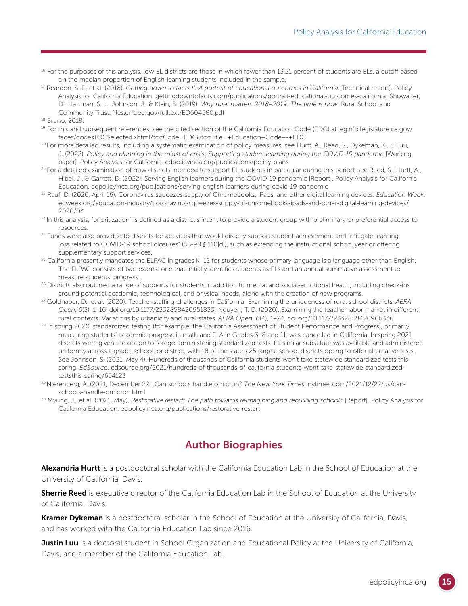- <sup>16</sup> For the purposes of this analysis, low EL districts are those in which fewer than 13.21 percent of students are ELs, a cutoff based on the median proportion of English-learning students included in the sample.
- <sup>17</sup> Reardon, S. F., et al. (2018). *Getting down to facts II: A portrait of educational outcomes in California* [Technical report]. Policy Analysis for California Education. [gettingdowntofacts.com/publications/portrait-educational-outcomes-california](http://gettingdowntofacts.com/publications/portrait-educational-outcomes-california); Showalter, D., Hartman, S. L., Johnson, J., & Klein, B. (2019). *Why rural matters 2018–2019: The time is now.* Rural School and Community Trust. [files.eric.ed.gov/fulltext/ED604580.pdf](http://files.eric.ed.gov/fulltext/ED604580.pdf)
- 18 Bruno, 2018.
- 19 For this and subsequent references, see the cited section of the California Education Code (EDC) at [leginfo.legislature.ca.gov/](http://leginfo.legislature.ca.gov/faces/codesTOCSelected.xhtml?tocCode=EDC&tocTitle=+Education+Code+-+EDC) [faces/codesTOCSelected.xhtml?tocCode=EDC&tocTitle=+Education+Code+-+EDC](http://leginfo.legislature.ca.gov/faces/codesTOCSelected.xhtml?tocCode=EDC&tocTitle=+Education+Code+-+EDC)
- <sup>20</sup> For more detailed results, including a systematic examination of policy measures, see Hurtt, A., Reed, S., Dykeman, K., & Luu, J. (2022). *Policy and planning in the midst of crisis: Supporting student learning during the COVID-19 pandemic* [Working paper]. Policy Analysis for California. [edpolicyinca.org/publications/policy-plans](http://edpolicyinca.org/publications/policy-plans)
- $^{21}$  For a detailed examination of how districts intended to support EL students in particular during this period, see Reed, S., Hurtt, A., Hibel, J., & Garrett, D. (2022). Serving English learners during the COVID-19 pandemic [Report]. Policy Analysis for California Education. [edpolicyinca.org/publications/serving-english-learners-during-covid-19-pandemic](http://edpolicyinca.org/publications/serving-english-learners-during-covid-19-pandemic)
- 22 Rauf, D. (2020, April 16). Coronavirus squeezes supply of Chromebooks, iPads, and other digital learning devices. *Education Week*. [edweek.org/education-industry/coronavirus-squeezes-supply-of-chromebooks-ipads-and-other-digital-learning-devices/](http://edweek.org/education-industry/coronavirus-squeezes-supply-of-chromebooks-ipads-and-other-digital-learning-devices/2020/04) [2020/04](http://edweek.org/education-industry/coronavirus-squeezes-supply-of-chromebooks-ipads-and-other-digital-learning-devices/2020/04)
- $^{23}$  In this analysis, "prioritization" is defined as a district's intent to provide a student group with preliminary or preferential access to resources.
- <sup>24</sup> Funds were also provided to districts for activities that would directly support student achievement and "mitigate learning loss related to COVID-19 school closures" (SB-98 *§* 110[d]), such as extending the instructional school year or offering supplementary support services.
- $25$  California presently mandates the ELPAC in grades K–12 for students whose primary language is a language other than English. The ELPAC consists of two exams: one that initially identifies students as ELs and an annual summative assessment to measure students' progress.
- <sup>26</sup> Districts also outlined a range of supports for students in addition to mental and social-emotional health, including check-ins around potential academic, technological, and physical needs, along with the creation of new programs*.*
- 27 Goldhaber, D., et al. (2020). Teacher staffing challenges in California: Examining the uniqueness of rural school districts. *AERA Open*, *6*(3), 1–16. [doi.org/10.1177/2332858420951833](http://doi.org/10.1177/2332858420951833); Nguyen, T. D. (2020). Examining the teacher labor market in different rural contexts: Variations by urbanicity and rural states. *AERA Open*, *6*(4), 1–24. [doi.org/10.1177/2332858420966336](http://doi.org/10.1177/2332858420966336)
- <sup>28</sup> In spring 2020, standardized testing (for example, the California Assessment of Student Performance and Progress), primarily measuring students' academic progress in math and ELA in Grades 3–8 and 11, was cancelled in California. In spring 2021, districts were given the option to forego administering standardized tests if a similar substitute was available and administered uniformly across a grade, school, or district, with 18 of the state's 25 largest school districts opting to offer alternative tests. See Johnson, S. (2021, May 4). Hundreds of thousands of California students won't take statewide standardized tests this spring. *EdSource*. [edsource.org/2021/hundreds-of-thousands-of-california-students-wont-take-statewide-standardized](http://edsource.org/2021/hundreds-of-thousands-of-california-students-wont-take-statewide-standardized-teststhis-spring/654123)[teststhis-spring/654123](http://edsource.org/2021/hundreds-of-thousands-of-california-students-wont-take-statewide-standardized-teststhis-spring/654123)
- 29 Nierenberg, A. (2021, December 22). Can schools handle omicron? *The New York Times.* [nytimes.com/2021/12/22/us/can](http://nytimes.com/2021/12/22/us/can-schools-handle-omicron.html)[schools-handle-omicron.html](http://nytimes.com/2021/12/22/us/can-schools-handle-omicron.html)
- 30 Myung, J., et al. (2021, May). *Restorative restart: The path towards reimagining and rebuilding schools* [Report]. Policy Analysis for California Education. [edpolicyinca.org/publications/restorative-restart](https://edpolicyinca.org/publications/restorative-restart)

### Author Biographies

Alexandria Hurtt is a postdoctoral scholar with the California Education Lab in the School of Education at the University of California, Davis.

Sherrie Reed is executive director of the California Education Lab in the School of Education at the University of California, Davis.

Kramer Dykeman is a postdoctoral scholar in the School of Education at the University of California, Davis, and has worked with the California Education Lab since 2016.

Justin Luu is a doctoral student in School Organization and Educational Policy at the University of California, Davis, and a member of the California Education Lab.